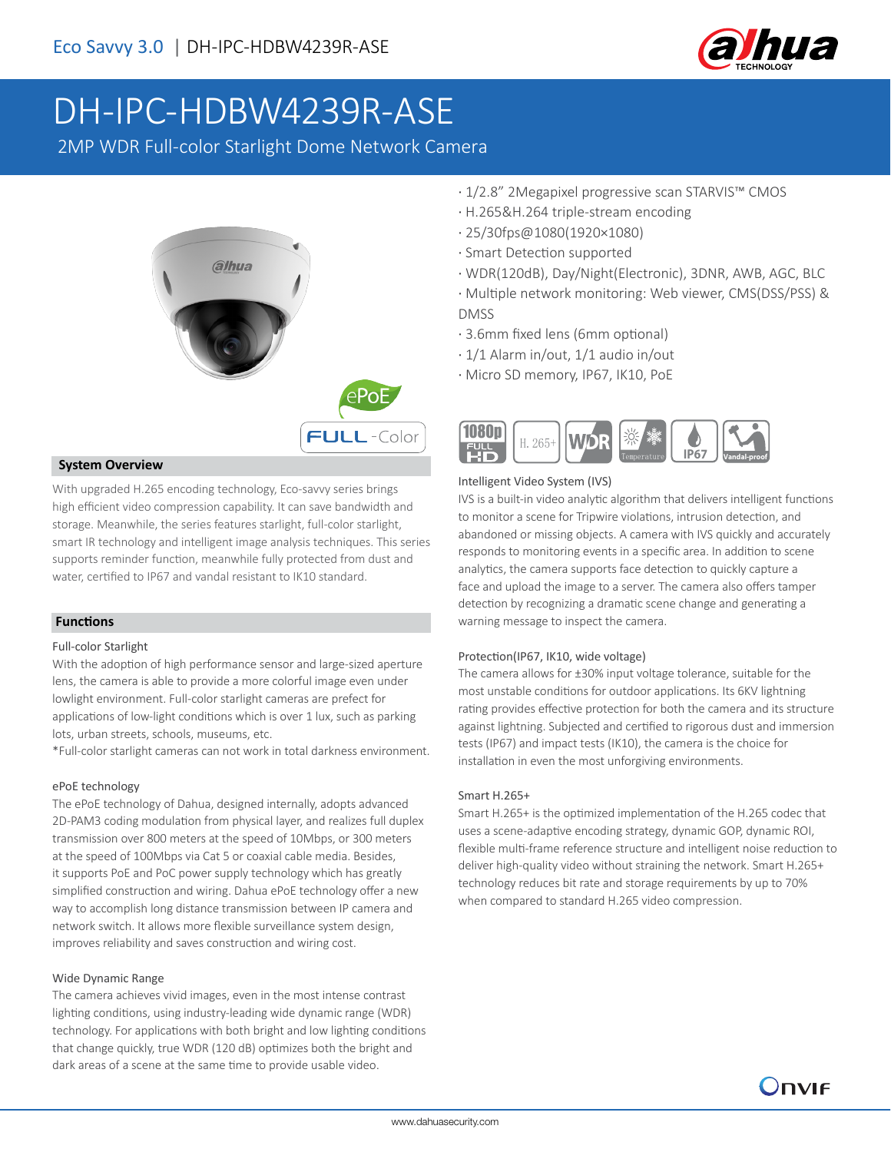

# DH-IPC-HDBW4239R-ASE

2MP WDR Full-color Starlight Dome Network Camera



### **System Overview**

With upgraded H.265 encoding technology, Eco-savvy series brings high efficient video compression capability. It can save bandwidth and storage. Meanwhile, the series features starlight, full-color starlight, smart IR technology and intelligent image analysis techniques. This series supports reminder function, meanwhile fully protected from dust and water, certified to IP67 and vandal resistant to IK10 standard.

### **Functions**

### Full-color Starlight

With the adoption of high performance sensor and large-sized aperture lens, the camera is able to provide a more colorful image even under lowlight environment. Full-color starlight cameras are prefect for applications of low-light conditions which is over 1 lux, such as parking lots, urban streets, schools, museums, etc.

\*Full-color starlight cameras can not work in total darkness environment.

### ePoE technology

The ePoE technology of Dahua, designed internally, adopts advanced 2D-PAM3 coding modulation from physical layer, and realizes full duplex transmission over 800 meters at the speed of 10Mbps, or 300 meters at the speed of 100Mbps via Cat 5 or coaxial cable media. Besides, it supports PoE and PoC power supply technology which has greatly simplified construction and wiring. Dahua ePoE technology offer a new way to accomplish long distance transmission between IP camera and network switch. It allows more flexible surveillance system design, improves reliability and saves construction and wiring cost.

### Wide Dynamic Range

The camera achieves vivid images, even in the most intense contrast lighting conditions, using industry-leading wide dynamic range (WDR) technology. For applications with both bright and low lighting conditions that change quickly, true WDR (120 dB) optimizes both the bright and dark areas of a scene at the same time to provide usable video.

- · 1/2.8" 2Megapixel progressive scan STARVIS™ CMOS
- · H.265&H.264 triple-stream encoding
- · 25/30fps@1080(1920×1080)
- · Smart Detection supported
- · WDR(120dB), Day/Night(Electronic), 3DNR, AWB, AGC, BLC
- · Multiple network monitoring: Web viewer, CMS(DSS/PSS) & DMSS
- · 3.6mm fixed lens (6mm optional)
- · 1/1 Alarm in/out, 1/1 audio in/out
- · Micro SD memory, IP67, IK10, PoE



### Intelligent Video System (IVS)

IVS is a built-in video analytic algorithm that delivers intelligent functions to monitor a scene for Tripwire violations, intrusion detection, and abandoned or missing objects. A camera with IVS quickly and accurately responds to monitoring events in a specific area. In addition to scene analytics, the camera supports face detection to quickly capture a face and upload the image to a server. The camera also offers tamper detection by recognizing a dramatic scene change and generating a warning message to inspect the camera.

### Protection(IP67, IK10, wide voltage)

The camera allows for ±30% input voltage tolerance, suitable for the most unstable conditions for outdoor applications. Its 6KV lightning rating provides effective protection for both the camera and its structure against lightning. Subjected and certified to rigorous dust and immersion tests (IP67) and impact tests (IK10), the camera is the choice for installation in even the most unforgiving environments.

### Smart H.265+

Smart H.265+ is the optimized implementation of the H.265 codec that uses a scene-adaptive encoding strategy, dynamic GOP, dynamic ROI, flexible multi-frame reference structure and intelligent noise reduction to deliver high-quality video without straining the network. Smart H.265+ technology reduces bit rate and storage requirements by up to 70% when compared to standard H.265 video compression.

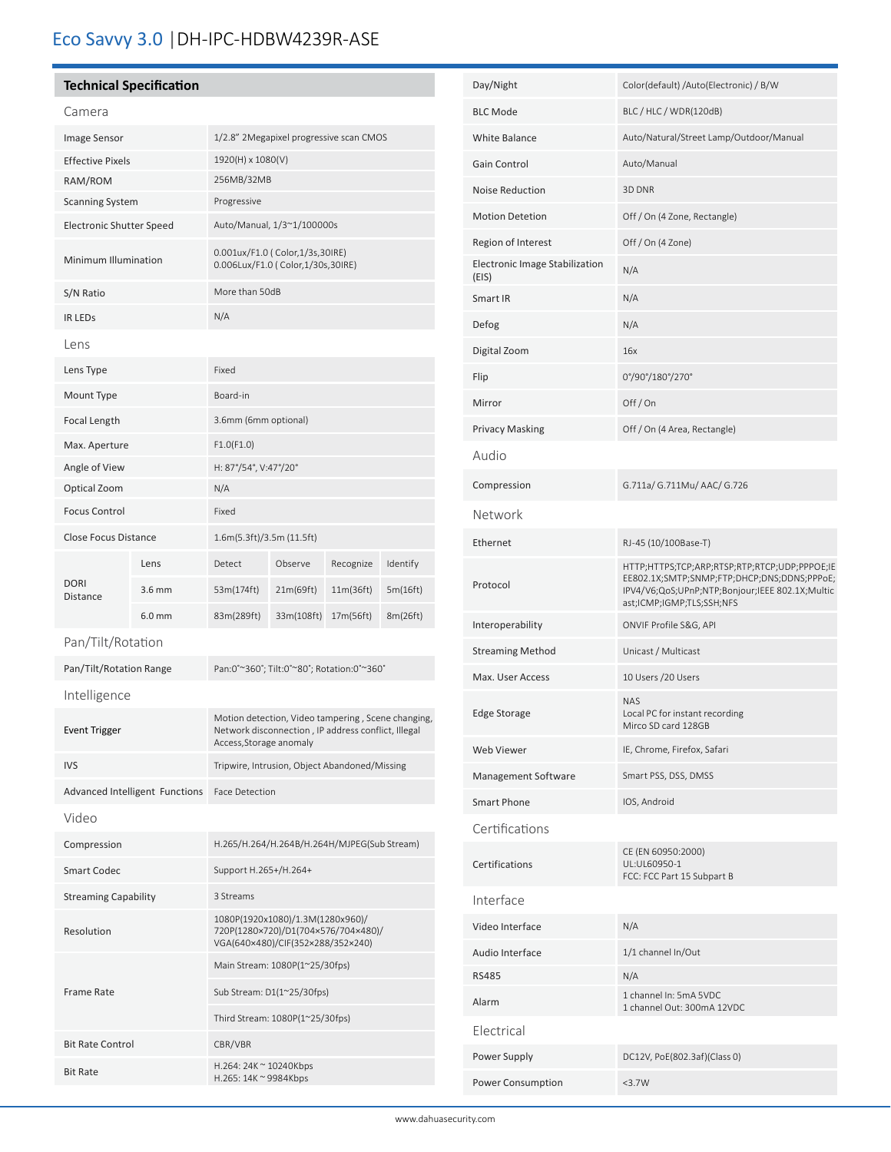## Eco Savvy 3.0 |DH-IPC-HDBW4239R-ASE

### **Technical Specification**

### Camera

| <u>CALLET</u>               |                                       |                                                                                                                                      |            |           |          |
|-----------------------------|---------------------------------------|--------------------------------------------------------------------------------------------------------------------------------------|------------|-----------|----------|
| Image Sensor                |                                       | 1/2.8" 2Megapixel progressive scan CMOS                                                                                              |            |           |          |
| <b>Effective Pixels</b>     |                                       | 1920(H) x 1080(V)                                                                                                                    |            |           |          |
| RAM/ROM                     |                                       | 256MB/32MB                                                                                                                           |            |           |          |
| <b>Scanning System</b>      |                                       | Progressive                                                                                                                          |            |           |          |
| Electronic Shutter Speed    |                                       | Auto/Manual, 1/3~1/100000s                                                                                                           |            |           |          |
| Minimum Illumination        |                                       | 0.001ux/F1.0 ( Color,1/3s,30IRE)<br>0.006Lux/F1.0 ( Color, 1/30s, 30IRE)                                                             |            |           |          |
| S/N Ratio                   |                                       | More than 50dB                                                                                                                       |            |           |          |
| <b>IR LEDS</b>              |                                       | N/A                                                                                                                                  |            |           |          |
| Lens                        |                                       |                                                                                                                                      |            |           |          |
| Lens Type                   |                                       | Fixed                                                                                                                                |            |           |          |
| Mount Type                  |                                       | Board-in                                                                                                                             |            |           |          |
| Focal Length                |                                       | 3.6mm (6mm optional)                                                                                                                 |            |           |          |
| Max. Aperture               |                                       | F1.0(F1.0)                                                                                                                           |            |           |          |
| Angle of View               |                                       | H: 87°/54°, V:47°/20°                                                                                                                |            |           |          |
| Optical Zoom                |                                       | N/A                                                                                                                                  |            |           |          |
| <b>Focus Control</b>        |                                       | Fixed                                                                                                                                |            |           |          |
| <b>Close Focus Distance</b> |                                       | 1.6m(5.3ft)/3.5m (11.5ft)                                                                                                            |            |           |          |
|                             | Lens                                  | Detect                                                                                                                               | Observe    | Recognize | Identify |
| <b>DORI</b><br>Distance     | $3.6$ mm                              | 53m(174ft)                                                                                                                           | 21m(69ft)  | 11m(36ft) | 5m(16ft) |
|                             | 6.0 mm                                | 83m(289ft)                                                                                                                           | 33m(108ft) | 17m(56ft) | 8m(26ft) |
| Pan/Tilt/Rotation           |                                       |                                                                                                                                      |            |           |          |
| Pan/Tilt/Rotation Range     |                                       | Pan:0°~360°; Tilt:0°~80°; Rotation:0°~360°                                                                                           |            |           |          |
| Intelligence                |                                       |                                                                                                                                      |            |           |          |
| <b>Event Trigger</b>        |                                       | Motion detection, Video tampering, Scene changing,<br>Network disconnection, IP address conflict, Illegal<br>Access, Storage anomaly |            |           |          |
| IVS                         |                                       | Tripwire, Intrusion, Object Abandoned/Missing                                                                                        |            |           |          |
|                             | <b>Advanced Intelligent Functions</b> | <b>Face Detection</b>                                                                                                                |            |           |          |
| Video                       |                                       |                                                                                                                                      |            |           |          |
| Compression                 |                                       | H.265/H.264/H.264B/H.264H/MJPEG(Sub Stream)                                                                                          |            |           |          |
| <b>Smart Codec</b>          |                                       | Support H.265+/H.264+                                                                                                                |            |           |          |
| <b>Streaming Capability</b> |                                       | 3 Streams                                                                                                                            |            |           |          |
| Resolution                  |                                       | 1080P(1920x1080)/1.3M(1280x960)/<br>720P(1280×720)/D1(704×576/704×480)/<br>VGA(640×480)/CIF(352×288/352×240)                         |            |           |          |
|                             |                                       | Main Stream: 1080P(1~25/30fps)                                                                                                       |            |           |          |
| Frame Rate                  |                                       | Sub Stream: D1(1~25/30fps)                                                                                                           |            |           |          |
|                             |                                       | Third Stream: 1080P(1~25/30fps)                                                                                                      |            |           |          |
| <b>Bit Rate Control</b>     |                                       | CBR/VBR                                                                                                                              |            |           |          |
| <b>Bit Rate</b>             |                                       | H.264: 24K ~ 10240Kbps<br>H.265: 14K ~ 9984Kbps                                                                                      |            |           |          |
|                             |                                       |                                                                                                                                      |            |           |          |

| Day/Night                               | Color(default) /Auto(Electronic) / B/W                                                                                                                                       |  |  |  |
|-----------------------------------------|------------------------------------------------------------------------------------------------------------------------------------------------------------------------------|--|--|--|
| <b>BLC Mode</b>                         | BLC / HLC / WDR(120dB)                                                                                                                                                       |  |  |  |
| <b>White Balance</b>                    | Auto/Natural/Street Lamp/Outdoor/Manual                                                                                                                                      |  |  |  |
| Gain Control                            | Auto/Manual                                                                                                                                                                  |  |  |  |
| <b>Noise Reduction</b>                  | 3D DNR                                                                                                                                                                       |  |  |  |
| <b>Motion Detetion</b>                  | Off / On (4 Zone, Rectangle)                                                                                                                                                 |  |  |  |
| Region of Interest                      | Off / On (4 Zone)                                                                                                                                                            |  |  |  |
| Electronic Image Stabilization<br>(EIS) | N/A                                                                                                                                                                          |  |  |  |
| Smart IR                                | N/A                                                                                                                                                                          |  |  |  |
| Defog                                   | N/A                                                                                                                                                                          |  |  |  |
| Digital Zoom                            | 16x                                                                                                                                                                          |  |  |  |
| Flip                                    | 0°/90°/180°/270°                                                                                                                                                             |  |  |  |
| Mirror                                  | Off/On                                                                                                                                                                       |  |  |  |
| <b>Privacy Masking</b>                  | Off / On (4 Area, Rectangle)                                                                                                                                                 |  |  |  |
| Audio                                   |                                                                                                                                                                              |  |  |  |
| Compression                             | G.711a/ G.711Mu/ AAC/ G.726                                                                                                                                                  |  |  |  |
| Network                                 |                                                                                                                                                                              |  |  |  |
| Ethernet                                | RJ-45 (10/100Base-T)                                                                                                                                                         |  |  |  |
| Protocol                                | HTTP;HTTPS;TCP;ARP;RTSP;RTP;RTCP;UDP;PPPOE;IE<br>EE802.1X;SMTP;SNMP;FTP;DHCP;DNS;DDNS;PPPoE;<br>IPV4/V6;QoS;UPnP;NTP;Bonjour;IEEE 802.1X;Multic<br>ast;ICMP;IGMP;TLS;SSH;NFS |  |  |  |
| Interoperability                        | ONVIF Profile S&G, API                                                                                                                                                       |  |  |  |
| <b>Streaming Method</b>                 | Unicast / Multicast                                                                                                                                                          |  |  |  |
| Max. User Access                        | 10 Users / 20 Users                                                                                                                                                          |  |  |  |
| <b>Edge Storage</b>                     | <b>NAS</b><br>Local PC for instant recording<br>Mirco SD card 128GB                                                                                                          |  |  |  |
| <b>Web Viewer</b>                       | IE, Chrome, Firefox, Safari                                                                                                                                                  |  |  |  |
| Management Software                     | Smart PSS, DSS, DMSS                                                                                                                                                         |  |  |  |
| <b>Smart Phone</b>                      | IOS, Android                                                                                                                                                                 |  |  |  |
| Certifications                          |                                                                                                                                                                              |  |  |  |
| Certifications                          | CE (EN 60950:2000)<br>UL:UL60950-1<br>FCC: FCC Part 15 Subpart B                                                                                                             |  |  |  |
| Interface                               |                                                                                                                                                                              |  |  |  |
| Video Interface                         | N/A                                                                                                                                                                          |  |  |  |
| Audio Interface                         | 1/1 channel In/Out                                                                                                                                                           |  |  |  |
| <b>RS485</b>                            | N/A                                                                                                                                                                          |  |  |  |
| Alarm                                   | 1 channel In: 5mA 5VDC<br>1 channel Out: 300mA 12VDC                                                                                                                         |  |  |  |
| Electrical                              |                                                                                                                                                                              |  |  |  |
| Power Supply                            | DC12V, PoE(802.3af)(Class 0)                                                                                                                                                 |  |  |  |
| Power Consumption                       | <3.7W                                                                                                                                                                        |  |  |  |